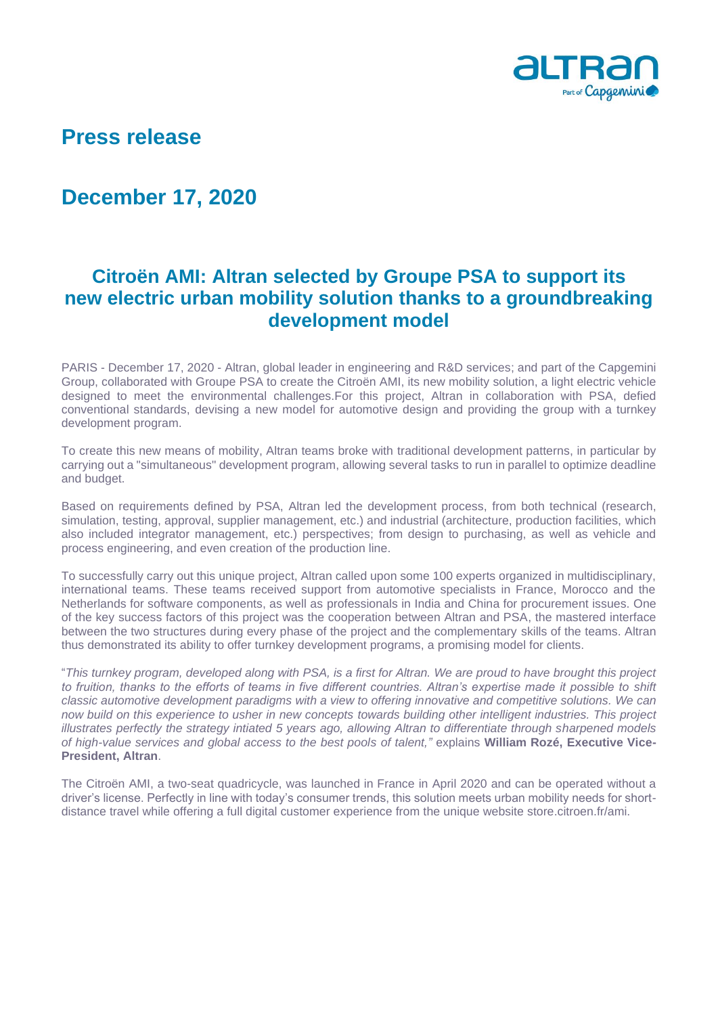

# **Press release**

## **December 17, 2020**

### **Citroën AMI: Altran selected by Groupe PSA to support its new electric urban mobility solution thanks to a groundbreaking development model**

PARIS - December 17, 2020 - Altran, global leader in engineering and R&D services; and part of the Capgemini Group, collaborated with Groupe PSA to create the Citroën AMI, its new mobility solution, a light electric vehicle designed to meet the environmental challenges.For this project, Altran in collaboration with PSA, defied conventional standards, devising a new model for automotive design and providing the group with a turnkey development program.

To create this new means of mobility, Altran teams broke with traditional development patterns, in particular by carrying out a "simultaneous" development program, allowing several tasks to run in parallel to optimize deadline and budget.

Based on requirements defined by PSA, Altran led the development process, from both technical (research, simulation, testing, approval, supplier management, etc.) and industrial (architecture, production facilities, which also included integrator management, etc.) perspectives; from design to purchasing, as well as vehicle and process engineering, and even creation of the production line.

To successfully carry out this unique project, Altran called upon some 100 experts organized in multidisciplinary, international teams. These teams received support from automotive specialists in France, Morocco and the Netherlands for software components, as well as professionals in India and China for procurement issues. One of the key success factors of this project was the cooperation between Altran and PSA, the mastered interface between the two structures during every phase of the project and the complementary skills of the teams. Altran thus demonstrated its ability to offer turnkey development programs, a promising model for clients.

"*This turnkey program, developed along with PSA, is a first for Altran. We are proud to have brought this project to fruition, thanks to the efforts of teams in five different countries. Altran's expertise made it possible to shift classic automotive development paradigms with a view to offering innovative and competitive solutions. We can now build on this experience to usher in new concepts towards building other intelligent industries. This project illustrates perfectly the strategy intiated 5 years ago, allowing Altran to differentiate through sharpened models of high-value services and global access to the best pools of talent,"* explains **William Rozé, Executive Vice-President, Altran**.

The Citroën AMI, a two-seat quadricycle, was launched in France in April 2020 and can be operated without a driver's license. Perfectly in line with today's consumer trends, this solution meets urban mobility needs for shortdistance travel while offering a full digital customer experience from the unique website store.citroen.fr/ami.